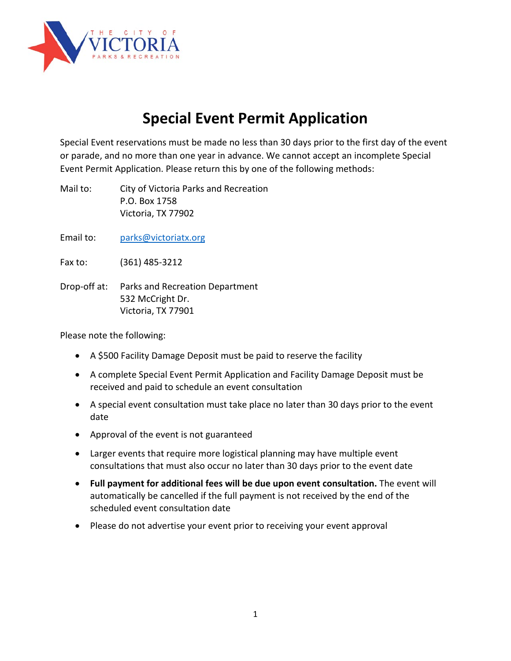

## **Special Event Permit Application**

Special Event reservations must be made no less than 30 days prior to the first day of the event or parade, and no more than one year in advance. We cannot accept an incomplete Special Event Permit Application. Please return this by one of the following methods:

- Mail to: City of Victoria Parks and Recreation P.O. Box 1758 Victoria, TX 77902
- Email to: [parks@victoriatx.org](mailto:parks@victoriatx.org)
- Fax to: (361) 485-3212
- Drop-off at: Parks and Recreation Department 532 McCright Dr. Victoria, TX 77901

Please note the following:

- A \$500 Facility Damage Deposit must be paid to reserve the facility
- A complete Special Event Permit Application and Facility Damage Deposit must be received and paid to schedule an event consultation
- A special event consultation must take place no later than 30 days prior to the event date
- Approval of the event is not guaranteed
- Larger events that require more logistical planning may have multiple event consultations that must also occur no later than 30 days prior to the event date
- **Full payment for additional fees will be due upon event consultation.** The event will automatically be cancelled if the full payment is not received by the end of the scheduled event consultation date
- Please do not advertise your event prior to receiving your event approval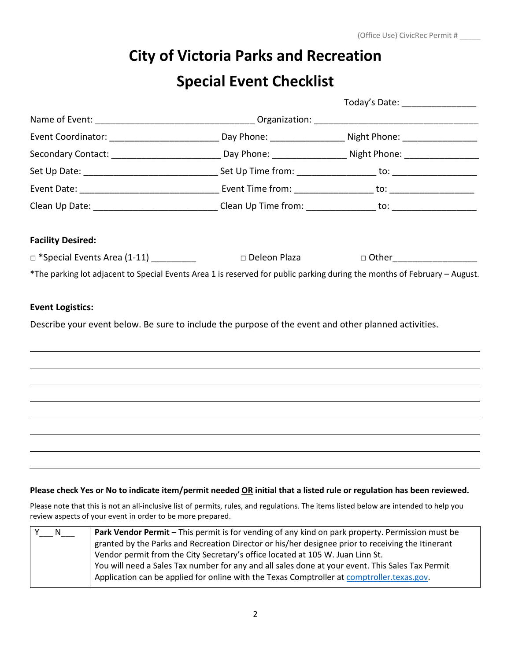## **City of Victoria Parks and Recreation Special Event Checklist**

| Today's Date: _________________                                                                                           |
|---------------------------------------------------------------------------------------------------------------------------|
|                                                                                                                           |
| Event Coordinator: __________________________________Day Phone: ________________________Night Phone: _______________      |
| Secondary Contact: __________________________________ Day Phone: _______________________Night Phone: _______________      |
|                                                                                                                           |
|                                                                                                                           |
|                                                                                                                           |
|                                                                                                                           |
| □ Other_____________________                                                                                              |
| *The parking lot adjacent to Special Events Area 1 is reserved for public parking during the months of February - August. |
|                                                                                                                           |
|                                                                                                                           |
| Describe your event below. Be sure to include the purpose of the event and other planned activities.                      |
|                                                                                                                           |
|                                                                                                                           |
|                                                                                                                           |
|                                                                                                                           |
|                                                                                                                           |
|                                                                                                                           |
|                                                                                                                           |
|                                                                                                                           |

## **Please check Yes or No to indicate item/permit needed OR initial that a listed rule or regulation has been reviewed.**

Please note that this is not an all-inclusive list of permits, rules, and regulations. The items listed below are intended to help you review aspects of your event in order to be more prepared.

| N. | Park Vendor Permit - This permit is for vending of any kind on park property. Permission must be  |
|----|---------------------------------------------------------------------------------------------------|
|    | granted by the Parks and Recreation Director or his/her designee prior to receiving the Itinerant |
|    | Vendor permit from the City Secretary's office located at 105 W. Juan Linn St.                    |
|    | You will need a Sales Tax number for any and all sales done at your event. This Sales Tax Permit  |
|    | Application can be applied for online with the Texas Comptroller at comptroller texas gov.        |
|    |                                                                                                   |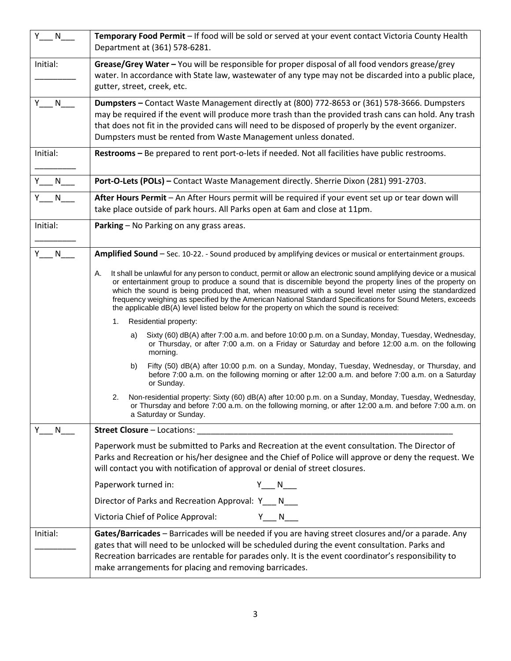| Y .<br>N | Temporary Food Permit - If food will be sold or served at your event contact Victoria County Health<br>Department at (361) 578-6281.                                                                                                                                                                                                                                                                                                                                                                                                                      |  |  |  |
|----------|-----------------------------------------------------------------------------------------------------------------------------------------------------------------------------------------------------------------------------------------------------------------------------------------------------------------------------------------------------------------------------------------------------------------------------------------------------------------------------------------------------------------------------------------------------------|--|--|--|
| Initial: | Grease/Grey Water - You will be responsible for proper disposal of all food vendors grease/grey<br>water. In accordance with State law, wastewater of any type may not be discarded into a public place,<br>gutter, street, creek, etc.                                                                                                                                                                                                                                                                                                                   |  |  |  |
| Y N      | Dumpsters - Contact Waste Management directly at (800) 772-8653 or (361) 578-3666. Dumpsters<br>may be required if the event will produce more trash than the provided trash cans can hold. Any trash<br>that does not fit in the provided cans will need to be disposed of properly by the event organizer.<br>Dumpsters must be rented from Waste Management unless donated.                                                                                                                                                                            |  |  |  |
| Initial: | Restrooms - Be prepared to rent port-o-lets if needed. Not all facilities have public restrooms.                                                                                                                                                                                                                                                                                                                                                                                                                                                          |  |  |  |
| Y N      | Port-O-Lets (POLs) - Contact Waste Management directly. Sherrie Dixon (281) 991-2703.                                                                                                                                                                                                                                                                                                                                                                                                                                                                     |  |  |  |
| Y N      | After Hours Permit - An After Hours permit will be required if your event set up or tear down will<br>take place outside of park hours. All Parks open at 6am and close at 11pm.                                                                                                                                                                                                                                                                                                                                                                          |  |  |  |
| Initial: | Parking - No Parking on any grass areas.                                                                                                                                                                                                                                                                                                                                                                                                                                                                                                                  |  |  |  |
| Y N      | Amplified Sound - Sec. 10-22. - Sound produced by amplifying devices or musical or entertainment groups.                                                                                                                                                                                                                                                                                                                                                                                                                                                  |  |  |  |
|          | It shall be unlawful for any person to conduct, permit or allow an electronic sound amplifying device or a musical<br>Α.<br>or entertainment group to produce a sound that is discernible beyond the property lines of the property on<br>which the sound is being produced that, when measured with a sound level meter using the standardized<br>frequency weighing as specified by the American National Standard Specifications for Sound Meters, exceeds<br>the applicable dB(A) level listed below for the property on which the sound is received: |  |  |  |
|          | Residential property:<br>1.                                                                                                                                                                                                                                                                                                                                                                                                                                                                                                                               |  |  |  |
|          | Sixty (60) dB(A) after 7:00 a.m. and before 10:00 p.m. on a Sunday, Monday, Tuesday, Wednesday,<br>a)<br>or Thursday, or after 7:00 a.m. on a Friday or Saturday and before 12:00 a.m. on the following<br>morning.                                                                                                                                                                                                                                                                                                                                       |  |  |  |
|          | Fifty (50) dB(A) after 10:00 p.m. on a Sunday, Monday, Tuesday, Wednesday, or Thursday, and<br>b)<br>before 7:00 a.m. on the following morning or after 12:00 a.m. and before 7:00 a.m. on a Saturday<br>or Sunday.                                                                                                                                                                                                                                                                                                                                       |  |  |  |
|          | Non-residential property: Sixty (60) dB(A) after 10:00 p.m. on a Sunday, Monday, Tuesday, Wednesday,<br>2.<br>or Thursday and before 7:00 a.m. on the following morning, or after 12:00 a.m. and before 7:00 a.m. on<br>a Saturday or Sunday.                                                                                                                                                                                                                                                                                                             |  |  |  |
| N        | <b>Street Closure - Locations:</b>                                                                                                                                                                                                                                                                                                                                                                                                                                                                                                                        |  |  |  |
|          | Paperwork must be submitted to Parks and Recreation at the event consultation. The Director of<br>Parks and Recreation or his/her designee and the Chief of Police will approve or deny the request. We<br>will contact you with notification of approval or denial of street closures.                                                                                                                                                                                                                                                                   |  |  |  |
|          | Paperwork turned in:<br>$Y \qquad N$                                                                                                                                                                                                                                                                                                                                                                                                                                                                                                                      |  |  |  |
|          | Director of Parks and Recreation Approval: Y N                                                                                                                                                                                                                                                                                                                                                                                                                                                                                                            |  |  |  |
|          | Victoria Chief of Police Approval:<br>$Y \t N$                                                                                                                                                                                                                                                                                                                                                                                                                                                                                                            |  |  |  |
| Initial: | Gates/Barricades - Barricades will be needed if you are having street closures and/or a parade. Any<br>gates that will need to be unlocked will be scheduled during the event consultation. Parks and<br>Recreation barricades are rentable for parades only. It is the event coordinator's responsibility to<br>make arrangements for placing and removing barricades.                                                                                                                                                                                   |  |  |  |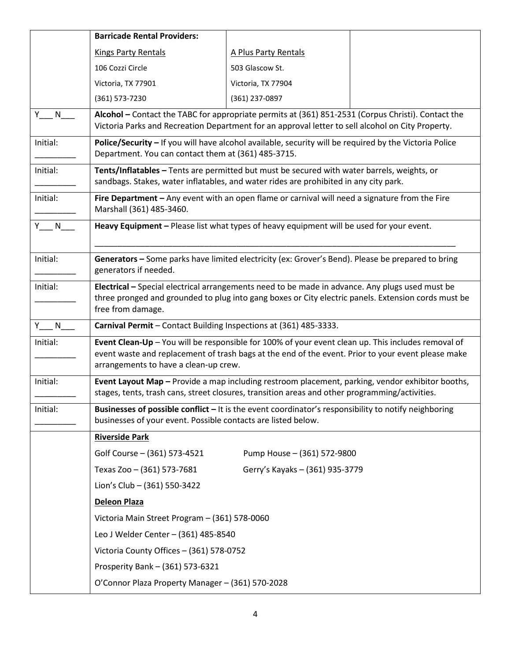|          | <b>Barricade Rental Providers:</b>                                                                                                                                                                                                                |                                 |  |  |
|----------|---------------------------------------------------------------------------------------------------------------------------------------------------------------------------------------------------------------------------------------------------|---------------------------------|--|--|
|          | <b>Kings Party Rentals</b>                                                                                                                                                                                                                        | A Plus Party Rentals            |  |  |
|          | 106 Cozzi Circle                                                                                                                                                                                                                                  | 503 Glascow St.                 |  |  |
|          | Victoria, TX 77901                                                                                                                                                                                                                                | Victoria, TX 77904              |  |  |
|          | (361) 573-7230                                                                                                                                                                                                                                    | (361) 237-0897                  |  |  |
| Y N      | Alcohol - Contact the TABC for appropriate permits at (361) 851-2531 (Corpus Christi). Contact the<br>Victoria Parks and Recreation Department for an approval letter to sell alcohol on City Property.                                           |                                 |  |  |
| Initial: | Police/Security - If you will have alcohol available, security will be required by the Victoria Police<br>Department. You can contact them at (361) 485-3715.                                                                                     |                                 |  |  |
| Initial: | Tents/Inflatables - Tents are permitted but must be secured with water barrels, weights, or<br>sandbags. Stakes, water inflatables, and water rides are prohibited in any city park.                                                              |                                 |  |  |
| Initial: | Fire Department - Any event with an open flame or carnival will need a signature from the Fire<br>Marshall (361) 485-3460.                                                                                                                        |                                 |  |  |
| Y N      | Heavy Equipment - Please list what types of heavy equipment will be used for your event.                                                                                                                                                          |                                 |  |  |
| Initial: | Generators - Some parks have limited electricity (ex: Grover's Bend). Please be prepared to bring<br>generators if needed.                                                                                                                        |                                 |  |  |
| Initial: | Electrical - Special electrical arrangements need to be made in advance. Any plugs used must be<br>three pronged and grounded to plug into gang boxes or City electric panels. Extension cords must be<br>free from damage.                       |                                 |  |  |
| $Y \t N$ | Carnival Permit - Contact Building Inspections at (361) 485-3333.                                                                                                                                                                                 |                                 |  |  |
| Initial: | Event Clean-Up - You will be responsible for 100% of your event clean up. This includes removal of<br>event waste and replacement of trash bags at the end of the event. Prior to your event please make<br>arrangements to have a clean-up crew. |                                 |  |  |
| Initial: | Event Layout Map - Provide a map including restroom placement, parking, vendor exhibitor booths,<br>stages, tents, trash cans, street closures, transition areas and other programming/activities.                                                |                                 |  |  |
| Initial: | Businesses of possible conflict - It is the event coordinator's responsibility to notify neighboring<br>businesses of your event. Possible contacts are listed below.                                                                             |                                 |  |  |
|          | <b>Riverside Park</b>                                                                                                                                                                                                                             |                                 |  |  |
|          | Golf Course - (361) 573-4521                                                                                                                                                                                                                      | Pump House - (361) 572-9800     |  |  |
|          | Texas Zoo - (361) 573-7681                                                                                                                                                                                                                        | Gerry's Kayaks - (361) 935-3779 |  |  |
|          | Lion's Club $-$ (361) 550-3422                                                                                                                                                                                                                    |                                 |  |  |
|          | Deleon Plaza                                                                                                                                                                                                                                      |                                 |  |  |
|          | Victoria Main Street Program - (361) 578-0060<br>Leo J Welder Center - (361) 485-8540<br>Victoria County Offices - (361) 578-0752<br>Prosperity Bank - (361) 573-6321<br>O'Connor Plaza Property Manager - (361) 570-2028                         |                                 |  |  |
|          |                                                                                                                                                                                                                                                   |                                 |  |  |
|          |                                                                                                                                                                                                                                                   |                                 |  |  |
|          |                                                                                                                                                                                                                                                   |                                 |  |  |
|          |                                                                                                                                                                                                                                                   |                                 |  |  |